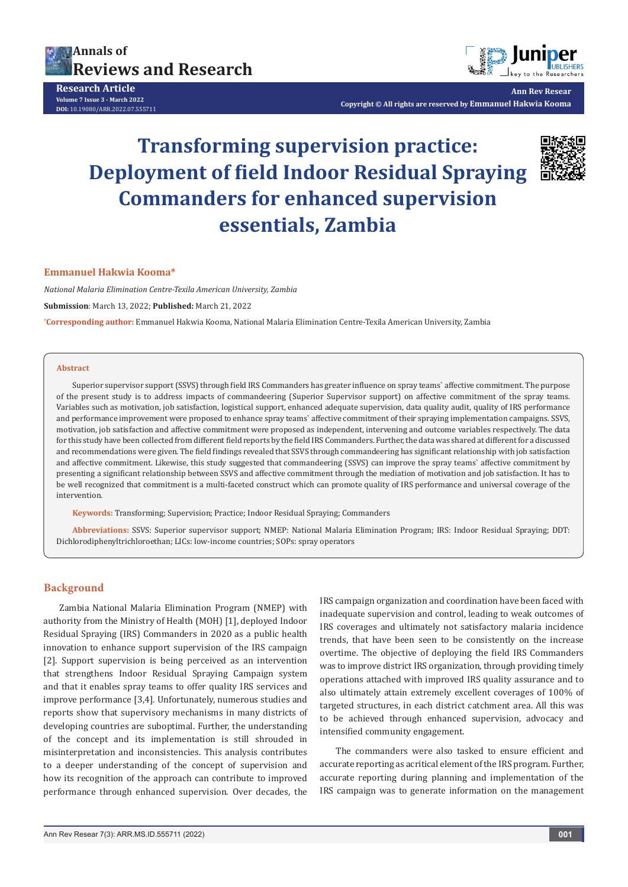

**Research Article Volume 7 Issue 3 - March 2022 DOI:** [10.19080/ARR.2022.07.5557](http://dx.doi.org/10.19080/ARR.2022.07.555711)11



**Ann Rev Resear Copyright © All rights are reserved by Emmanuel Hakwia Kooma**

# **Transforming supervision practice: Deployment of field Indoor Residual Spraying Commanders for enhanced supervision essentials, Zambia**



#### **Emmanuel Hakwia Kooma\***

*National Malaria Elimination Centre-Texila American University, Zambia*

**Submission**: March 13, 2022; **Published:** March 21, 2022

**\* Corresponding author:** Emmanuel Hakwia Kooma, National Malaria Elimination Centre-Texila American University, Zambia

#### **Abstract**

Superior supervisor support (SSVS) through field IRS Commanders has greater influence on spray teams` affective commitment. The purpose of the present study is to address impacts of commandeering (Superior Supervisor support) on affective commitment of the spray teams. Variables such as motivation, job satisfaction, logistical support, enhanced adequate supervision, data quality audit, quality of IRS performance and performance improvement were proposed to enhance spray teams` affective commitment of their spraying implementation campaigns. SSVS, motivation, job satisfaction and affective commitment were proposed as independent, intervening and outcome variables respectively. The data for this study have been collected from different field reports by the field IRS Commanders. Further, the data was shared at different for a discussed and recommendations were given. The field findings revealed that SSVS through commandeering has significant relationship with job satisfaction and affective commitment. Likewise, this study suggested that commandeering (SSVS) can improve the spray teams` affective commitment by presenting a significant relationship between SSVS and affective commitment through the mediation of motivation and job satisfaction. It has to be well recognized that commitment is a multi-faceted construct which can promote quality of IRS performance and universal coverage of the intervention.

**Keywords:** Transforming; Supervision; Practice; Indoor Residual Spraying; Commanders

**Abbreviations:** SSVS: Superior supervisor support; NMEP: National Malaria Elimination Program; IRS: Indoor Residual Spraying; DDT: Dichlorodiphenyltrichloroethan; LICs: low-income countries; SOPs: spray operators

#### **Background**

Zambia National Malaria Elimination Program (NMEP) with authority from the Ministry of Health (MOH) [1], deployed Indoor Residual Spraying (IRS) Commanders in 2020 as a public health innovation to enhance support supervision of the IRS campaign [2]. Support supervision is being perceived as an intervention that strengthens Indoor Residual Spraying Campaign system and that it enables spray teams to offer quality IRS services and improve performance [3,4]. Unfortunately, numerous studies and reports show that supervisory mechanisms in many districts of developing countries are suboptimal. Further, the understanding of the concept and its implementation is still shrouded in misinterpretation and inconsistencies. This analysis contributes to a deeper understanding of the concept of supervision and how its recognition of the approach can contribute to improved performance through enhanced supervision. Over decades, the

IRS campaign organization and coordination have been faced with inadequate supervision and control, leading to weak outcomes of IRS coverages and ultimately not satisfactory malaria incidence trends, that have been seen to be consistently on the increase overtime. The objective of deploying the field IRS Commanders was to improve district IRS organization, through providing timely operations attached with improved IRS quality assurance and to also ultimately attain extremely excellent coverages of 100% of targeted structures, in each district catchment area. All this was to be achieved through enhanced supervision, advocacy and intensified community engagement.

The commanders were also tasked to ensure efficient and accurate reporting as acritical element of the IRS program. Further, accurate reporting during planning and implementation of the IRS campaign was to generate information on the management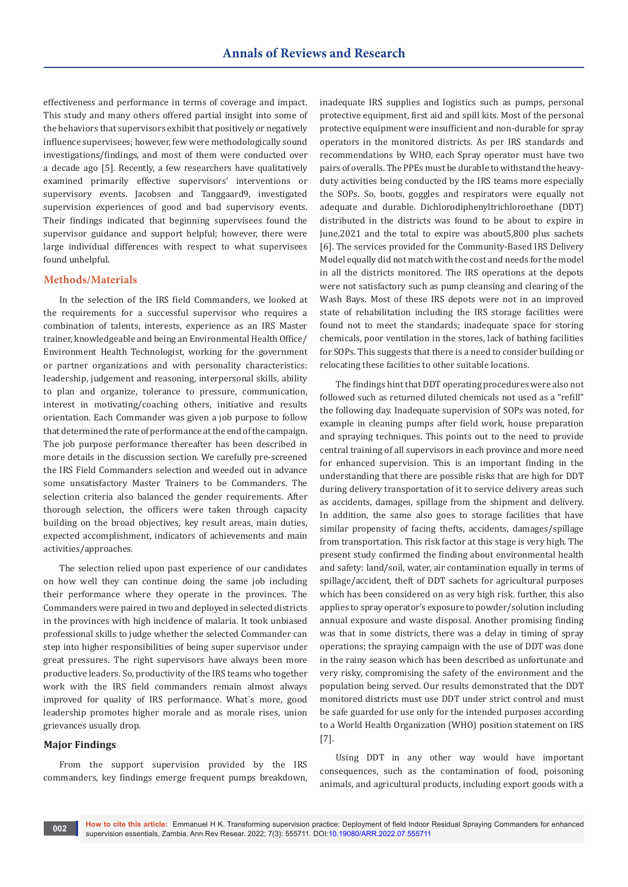effectiveness and performance in terms of coverage and impact. This study and many others offered partial insight into some of the behaviors that supervisors exhibit that positively or negatively influence supervisees; however, few were methodologically sound investigations/findings, and most of them were conducted over a decade ago [5]. Recently, a few researchers have qualitatively examined primarily effective supervisors' interventions or supervisory events. Jacobsen and Tanggaard9, investigated supervision experiences of good and bad supervisory events. Their findings indicated that beginning supervisees found the supervisor guidance and support helpful; however, there were large individual differences with respect to what supervisees found unhelpful.

#### **Methods/Materials**

In the selection of the IRS field Commanders, we looked at the requirements for a successful supervisor who requires a combination of talents, interests, experience as an IRS Master trainer, knowledgeable and being an Environmental Health Office/ Environment Health Technologist, working for the government or partner organizations and with personality characteristics: leadership, judgement and reasoning, interpersonal skills, ability to plan and organize, tolerance to pressure, communication, interest in motivating/coaching others, initiative and results orientation. Each Commander was given a job purpose to follow that determined the rate of performance at the end of the campaign. The job purpose performance thereafter has been described in more details in the discussion section. We carefully pre-screened the IRS Field Commanders selection and weeded out in advance some unsatisfactory Master Trainers to be Commanders. The selection criteria also balanced the gender requirements. After thorough selection, the officers were taken through capacity building on the broad objectives, key result areas, main duties, expected accomplishment, indicators of achievements and main activities/approaches.

The selection relied upon past experience of our candidates on how well they can continue doing the same job including their performance where they operate in the provinces. The Commanders were paired in two and deployed in selected districts in the provinces with high incidence of malaria. It took unbiased professional skills to judge whether the selected Commander can step into higher responsibilities of being super supervisor under great pressures. The right supervisors have always been more productive leaders. So, productivity of the IRS teams who together work with the IRS field commanders remain almost always improved for quality of IRS performance. What`s more, good leadership promotes higher morale and as morale rises, union grievances usually drop.

## **Major Findings**

From the support supervision provided by the IRS commanders, key findings emerge frequent pumps breakdown, inadequate IRS supplies and logistics such as pumps, personal protective equipment, first aid and spill kits. Most of the personal protective equipment were insufficient and non-durable for spray operators in the monitored districts. As per IRS standards and recommendations by WHO, each Spray operator must have two pairs of overalls. The PPEs must be durable to withstand the heavyduty activities being conducted by the IRS teams more especially the SOPs. So, boots, goggles and respirators were equally not adequate and durable. Dichlorodiphenyltrichloroethane (DDT) distributed in the districts was found to be about to expire in June,2021 and the total to expire was about5,800 plus sachets [6]. The services provided for the Community-Based IRS Delivery Model equally did not match with the cost and needs for the model in all the districts monitored. The IRS operations at the depots were not satisfactory such as pump cleansing and clearing of the Wash Bays. Most of these IRS depots were not in an improved state of rehabilitation including the IRS storage facilities were found not to meet the standards; inadequate space for storing chemicals, poor ventilation in the stores, lack of bathing facilities for SOPs. This suggests that there is a need to consider building or relocating these facilities to other suitable locations.

The findings hint that DDT operating procedures were also not followed such as returned diluted chemicals not used as a "refill" the following day. Inadequate supervision of SOPs was noted, for example in cleaning pumps after field work, house preparation and spraying techniques. This points out to the need to provide central training of all supervisors in each province and more need for enhanced supervision. This is an important finding in the understanding that there are possible risks that are high for DDT during delivery transportation of it to service delivery areas such as accidents, damages, spillage from the shipment and delivery. In addition, the same also goes to storage facilities that have similar propensity of facing thefts, accidents, damages/spillage from transportation. This risk factor at this stage is very high. The present study confirmed the finding about environmental health and safety: land/soil, water, air contamination equally in terms of spillage/accident, theft of DDT sachets for agricultural purposes which has been considered on as very high risk. further, this also applies to spray operator's exposure to powder/solution including annual exposure and waste disposal. Another promising finding was that in some districts, there was a delay in timing of spray operations; the spraying campaign with the use of DDT was done in the rainy season which has been described as unfortunate and very risky, compromising the safety of the environment and the population being served. Our results demonstrated that the DDT monitored districts must use DDT under strict control and must be safe guarded for use only for the intended purposes according to a World Health Organization (WHO) position statement on IRS [7].

Using DDT in any other way would have important consequences, such as the contamination of food, poisoning animals, and agricultural products, including export goods with a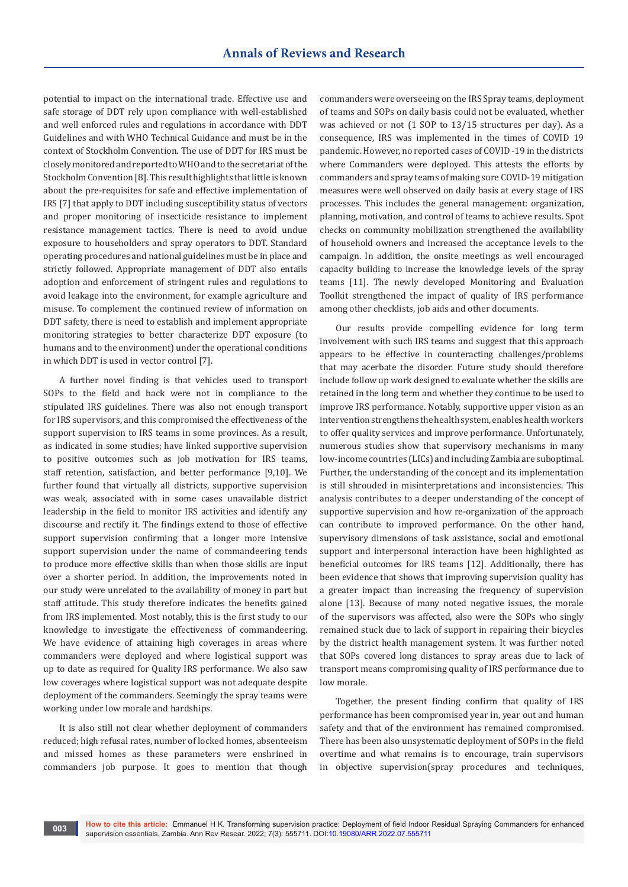potential to impact on the international trade. Effective use and safe storage of DDT rely upon compliance with well-established and well enforced rules and regulations in accordance with DDT Guidelines and with WHO Technical Guidance and must be in the context of Stockholm Convention. The use of DDT for IRS must be closely monitored and reported to WHO and to the secretariat of the Stockholm Convention [8]. This result highlights that little is known about the pre-requisites for safe and effective implementation of IRS [7] that apply to DDT including susceptibility status of vectors and proper monitoring of insecticide resistance to implement resistance management tactics. There is need to avoid undue exposure to householders and spray operators to DDT. Standard operating procedures and national guidelines must be in place and strictly followed. Appropriate management of DDT also entails adoption and enforcement of stringent rules and regulations to avoid leakage into the environment, for example agriculture and misuse. To complement the continued review of information on DDT safety, there is need to establish and implement appropriate monitoring strategies to better characterize DDT exposure (to humans and to the environment) under the operational conditions in which DDT is used in vector control [7].

A further novel finding is that vehicles used to transport SOPs to the field and back were not in compliance to the stipulated IRS guidelines. There was also not enough transport for IRS supervisors, and this compromised the effectiveness of the support supervision to IRS teams in some provinces. As a result, as indicated in some studies; have linked supportive supervision to positive outcomes such as job motivation for IRS teams, staff retention, satisfaction, and better performance [9,10]. We further found that virtually all districts, supportive supervision was weak, associated with in some cases unavailable district leadership in the field to monitor IRS activities and identify any discourse and rectify it. The findings extend to those of effective support supervision confirming that a longer more intensive support supervision under the name of commandeering tends to produce more effective skills than when those skills are input over a shorter period. In addition, the improvements noted in our study were unrelated to the availability of money in part but staff attitude. This study therefore indicates the benefits gained from IRS implemented. Most notably, this is the first study to our knowledge to investigate the effectiveness of commandeering. We have evidence of attaining high coverages in areas where commanders were deployed and where logistical support was up to date as required for Quality IRS performance. We also saw low coverages where logistical support was not adequate despite deployment of the commanders. Seemingly the spray teams were working under low morale and hardships.

It is also still not clear whether deployment of commanders reduced; high refusal rates, number of locked homes, absenteeism and missed homes as these parameters were enshrined in commanders job purpose. It goes to mention that though

commanders were overseeing on the IRS Spray teams, deployment of teams and SOPs on daily basis could not be evaluated, whether was achieved or not (1 SOP to 13/15 structures per day). As a consequence, IRS was implemented in the times of COVID 19 pandemic. However, no reported cases of COVID -19 in the districts where Commanders were deployed. This attests the efforts by commanders and spray teams of making sure COVID-19 mitigation measures were well observed on daily basis at every stage of IRS processes. This includes the general management: organization, planning, motivation, and control of teams to achieve results. Spot checks on community mobilization strengthened the availability of household owners and increased the acceptance levels to the campaign. In addition, the onsite meetings as well encouraged capacity building to increase the knowledge levels of the spray teams [11]. The newly developed Monitoring and Evaluation Toolkit strengthened the impact of quality of IRS performance among other checklists, job aids and other documents.

Our results provide compelling evidence for long term involvement with such IRS teams and suggest that this approach appears to be effective in counteracting challenges/problems that may acerbate the disorder. Future study should therefore include follow up work designed to evaluate whether the skills are retained in the long term and whether they continue to be used to improve IRS performance. Notably, supportive upper vision as an intervention strengthens the health system, enables health workers to offer quality services and improve performance. Unfortunately, numerous studies show that supervisory mechanisms in many low-income countries (LICs) and including Zambia are suboptimal. Further, the understanding of the concept and its implementation is still shrouded in misinterpretations and inconsistencies. This analysis contributes to a deeper understanding of the concept of supportive supervision and how re-organization of the approach can contribute to improved performance. On the other hand, supervisory dimensions of task assistance, social and emotional support and interpersonal interaction have been highlighted as beneficial outcomes for IRS teams [12]. Additionally, there has been evidence that shows that improving supervision quality has a greater impact than increasing the frequency of supervision alone [13]. Because of many noted negative issues, the morale of the supervisors was affected, also were the SOPs who singly remained stuck due to lack of support in repairing their bicycles by the district health management system. It was further noted that SOPs covered long distances to spray areas due to lack of transport means compromising quality of IRS performance due to low morale.

Together, the present finding confirm that quality of IRS performance has been compromised year in, year out and human safety and that of the environment has remained compromised. There has been also unsystematic deployment of SOPs in the field overtime and what remains is to encourage, train supervisors in objective supervision(spray procedures and techniques,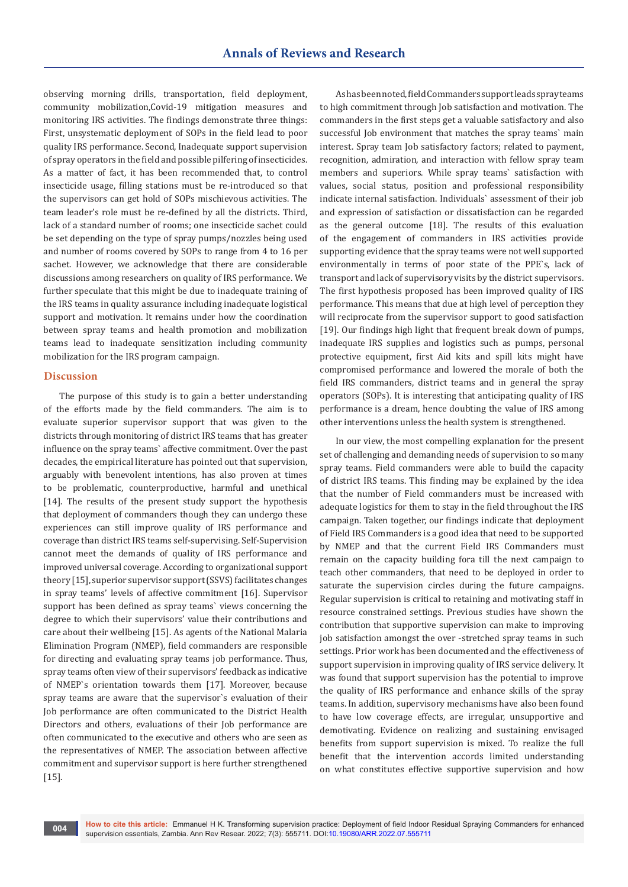observing morning drills, transportation, field deployment, community mobilization,Covid-19 mitigation measures and monitoring IRS activities. The findings demonstrate three things: First, unsystematic deployment of SOPs in the field lead to poor quality IRS performance. Second, Inadequate support supervision of spray operators in the field and possible pilfering of insecticides. As a matter of fact, it has been recommended that, to control insecticide usage, filling stations must be re-introduced so that the supervisors can get hold of SOPs mischievous activities. The team leader's role must be re-defined by all the districts. Third, lack of a standard number of rooms; one insecticide sachet could be set depending on the type of spray pumps/nozzles being used and number of rooms covered by SOPs to range from 4 to 16 per sachet. However, we acknowledge that there are considerable discussions among researchers on quality of IRS performance. We further speculate that this might be due to inadequate training of the IRS teams in quality assurance including inadequate logistical support and motivation. It remains under how the coordination between spray teams and health promotion and mobilization teams lead to inadequate sensitization including community mobilization for the IRS program campaign.

#### **Discussion**

The purpose of this study is to gain a better understanding of the efforts made by the field commanders. The aim is to evaluate superior supervisor support that was given to the districts through monitoring of district IRS teams that has greater influence on the spray teams` affective commitment. Over the past decades, the empirical literature has pointed out that supervision, arguably with benevolent intentions, has also proven at times to be problematic, counterproductive, harmful and unethical [14]. The results of the present study support the hypothesis that deployment of commanders though they can undergo these experiences can still improve quality of IRS performance and coverage than district IRS teams self-supervising. Self-Supervision cannot meet the demands of quality of IRS performance and improved universal coverage. According to organizational support theory [15], superior supervisor support (SSVS) facilitates changes in spray teams' levels of affective commitment [16]. Supervisor support has been defined as spray teams` views concerning the degree to which their supervisors' value their contributions and care about their wellbeing [15]. As agents of the National Malaria Elimination Program (NMEP), field commanders are responsible for directing and evaluating spray teams job performance. Thus, spray teams often view of their supervisors' feedback as indicative of NMEP`s orientation towards them [17]. Moreover, because spray teams are aware that the supervisor`s evaluation of their Job performance are often communicated to the District Health Directors and others, evaluations of their Job performance are often communicated to the executive and others who are seen as the representatives of NMEP. The association between affective commitment and supervisor support is here further strengthened [15].

As has been noted, field Commanders support leads spray teams to high commitment through Job satisfaction and motivation. The commanders in the first steps get a valuable satisfactory and also successful Job environment that matches the spray teams` main interest. Spray team Job satisfactory factors; related to payment, recognition, admiration, and interaction with fellow spray team members and superiors. While spray teams` satisfaction with values, social status, position and professional responsibility indicate internal satisfaction. Individuals` assessment of their job and expression of satisfaction or dissatisfaction can be regarded as the general outcome [18]. The results of this evaluation of the engagement of commanders in IRS activities provide supporting evidence that the spray teams were not well supported environmentally in terms of poor state of the PPE`s, lack of transport and lack of supervisory visits by the district supervisors. The first hypothesis proposed has been improved quality of IRS performance. This means that due at high level of perception they will reciprocate from the supervisor support to good satisfaction [19]. Our findings high light that frequent break down of pumps, inadequate IRS supplies and logistics such as pumps, personal protective equipment, first Aid kits and spill kits might have compromised performance and lowered the morale of both the field IRS commanders, district teams and in general the spray operators (SOPs). It is interesting that anticipating quality of IRS performance is a dream, hence doubting the value of IRS among other interventions unless the health system is strengthened.

In our view, the most compelling explanation for the present set of challenging and demanding needs of supervision to so many spray teams. Field commanders were able to build the capacity of district IRS teams. This finding may be explained by the idea that the number of Field commanders must be increased with adequate logistics for them to stay in the field throughout the IRS campaign. Taken together, our findings indicate that deployment of Field IRS Commanders is a good idea that need to be supported by NMEP and that the current Field IRS Commanders must remain on the capacity building fora till the next campaign to teach other commanders, that need to be deployed in order to saturate the supervision circles during the future campaigns. Regular supervision is critical to retaining and motivating staff in resource constrained settings. Previous studies have shown the contribution that supportive supervision can make to improving job satisfaction amongst the over -stretched spray teams in such settings. Prior work has been documented and the effectiveness of support supervision in improving quality of IRS service delivery. It was found that support supervision has the potential to improve the quality of IRS performance and enhance skills of the spray teams. In addition, supervisory mechanisms have also been found to have low coverage effects, are irregular, unsupportive and demotivating. Evidence on realizing and sustaining envisaged benefits from support supervision is mixed. To realize the full benefit that the intervention accords limited understanding on what constitutes effective supportive supervision and how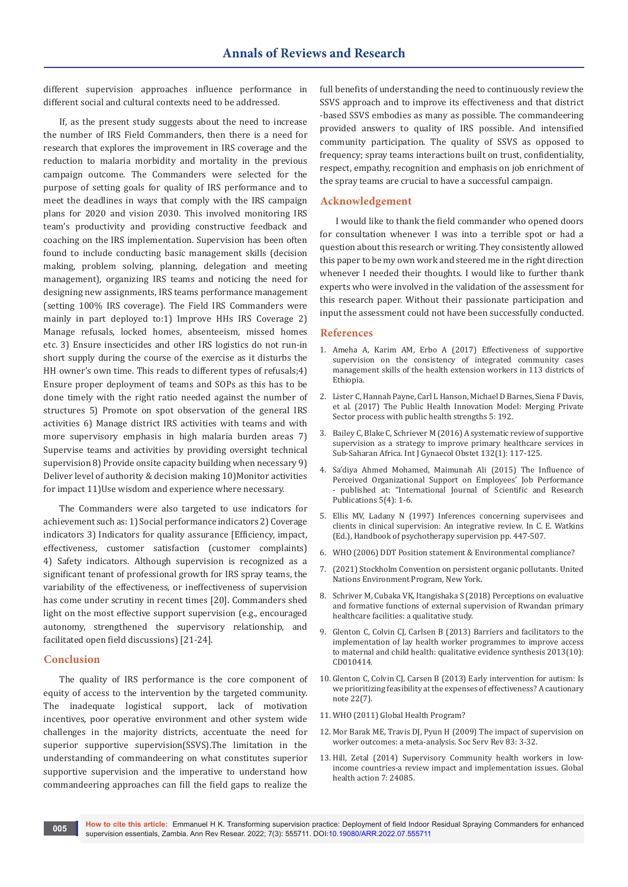different supervision approaches influence performance in different social and cultural contexts need to be addressed.

If, as the present study suggests about the need to increase the number of IRS Field Commanders, then there is a need for research that explores the improvement in IRS coverage and the reduction to malaria morbidity and mortality in the previous campaign outcome. The Commanders were selected for the purpose of setting goals for quality of IRS performance and to meet the deadlines in ways that comply with the IRS campaign plans for 2020 and vision 2030. This involved monitoring IRS team's productivity and providing constructive feedback and coaching on the IRS implementation. Supervision has been often found to include conducting basic management skills (decision making, problem solving, planning, delegation and meeting management), organizing IRS teams and noticing the need for designing new assignments, IRS teams performance management (setting 100% IRS coverage). The Field IRS Commanders were mainly in part deployed to:1) Improve HHs IRS Coverage 2) Manage refusals, locked homes, absenteeism, missed homes etc. 3) Ensure insecticides and other IRS logistics do not run-in short supply during the course of the exercise as it disturbs the HH owner's own time. This reads to different types of refusals;4) Ensure proper deployment of teams and SOPs as this has to be done timely with the right ratio needed against the number of structures 5) Promote on spot observation of the general IRS activities 6) Manage district IRS activities with teams and with more supervisory emphasis in high malaria burden areas 7) Supervise teams and activities by providing oversight technical supervision 8) Provide onsite capacity building when necessary 9) Deliver level of authority & decision making 10)Monitor activities for impact 11)Use wisdom and experience where necessary.

The Commanders were also targeted to use indicators for achievement such as: 1) Social performance indicators 2) Coverage indicators 3) Indicators for quality assurance [Efficiency, impact, effectiveness, customer satisfaction (customer complaints) 4) Safety indicators. Although supervision is recognized as a significant tenant of professional growth for IRS spray teams, the variability of the effectiveness, or ineffectiveness of supervision has come under scrutiny in recent times [20]. Commanders shed light on the most effective support supervision (e.g., encouraged autonomy, strengthened the supervisory relationship, and facilitated open field discussions) [21-24].

#### **Conclusion**

The quality of IRS performance is the core component of equity of access to the intervention by the targeted community. The inadequate logistical support, lack of motivation incentives, poor operative environment and other system wide challenges in the majority districts, accentuate the need for superior supportive supervision(SSVS).The limitation in the understanding of commandeering on what constitutes superior supportive supervision and the imperative to understand how commandeering approaches can fill the field gaps to realize the

full benefits of understanding the need to continuously review the SSVS approach and to improve its effectiveness and that district -based SSVS embodies as many as possible. The commandeering provided answers to quality of IRS possible. And intensified community participation. The quality of SSVS as opposed to frequency; spray teams interactions built on trust, confidentiality, respect, empathy, recognition and emphasis on job enrichment of the spray teams are crucial to have a successful campaign.

#### **Acknowledgement**

I would like to thank the field commander who opened doors for consultation whenever I was into a terrible spot or had a question about this research or writing. They consistently allowed this paper to be my own work and steered me in the right direction whenever I needed their thoughts. I would like to further thank experts who were involved in the validation of the assessment for this research paper. Without their passionate participation and input the assessment could not have been successfully conducted.

#### **References**

- 1. Ameha A, Karim AM, Erbo A (2017) Effectiveness of supportive supervision on the consistency of integrated community cases management skills of the health extension workers in 113 districts of Ethiopia.
- 2. [Lister C, Hannah Payne, Carl L Hanson, Michael D Barnes, Siena F Davis,](https://pubmed.ncbi.nlm.nih.gov/28824899/)  [et al. \(2017\) The Public Health Innovation Model: Merging Private](https://pubmed.ncbi.nlm.nih.gov/28824899/)  [Sector process with public health strengths 5: 192.](https://pubmed.ncbi.nlm.nih.gov/28824899/)
- 3. [Bailey C, Blake C, Schriever M \(2016\) A systematic review of supportive](https://pubmed.ncbi.nlm.nih.gov/26653397/)  [supervision as a strategy to improve primary healthcare services in](https://pubmed.ncbi.nlm.nih.gov/26653397/)  [Sub-Saharan Africa. Int J Gynaecol Obstet 132\(1\): 117-125.](https://pubmed.ncbi.nlm.nih.gov/26653397/)
- 4. [Sa'diya Ahmed Mohamed, Maimunah Ali \(2015\) The Influence of](http://www.ijsrp.org/research-paper-0415/ijsrp-p40107.pdf)  [Perceived Organizational Support on Employees' Job Performance](http://www.ijsrp.org/research-paper-0415/ijsrp-p40107.pdf)  [- published at: "International Journal of Scientific and Research](http://www.ijsrp.org/research-paper-0415/ijsrp-p40107.pdf)  [Publications 5\(4\): 1-6.](http://www.ijsrp.org/research-paper-0415/ijsrp-p40107.pdf)
- 5. [Ellis MV, Ladany N \(1997\) Inferences concerning supervisees and](https://psycnet.apa.org/record/1997-08923-024)  [clients in clinical supervision: An integrative review. In C. E. Watkins](https://psycnet.apa.org/record/1997-08923-024)  [\(Ed.\), Handbook of psychotherapy supervision pp. 447-507.](https://psycnet.apa.org/record/1997-08923-024)
- 6. WHO (2006) DDT Position statement & Environmental compliance?
- 7. (2021) Stockholm Convention on persistent organic pollutants. United Nations Environment Program, New York.
- 8. [Schriver M, Cubaka VK, Itangishaka S \(2018\) Perceptions on evaluative](https://journals.plos.org/plosone/article?id=10.1371/journal.pone.0189844)  [and formative functions of external supervision of Rwandan primary](https://journals.plos.org/plosone/article?id=10.1371/journal.pone.0189844)  [healthcare facilities: a qualitative study.](https://journals.plos.org/plosone/article?id=10.1371/journal.pone.0189844)
- 9. [Glenton C, Colvin CJ, Carlsen B \(2013\) Barriers and facilitators to the](https://pubmed.ncbi.nlm.nih.gov/24101553/)  [implementation of lay health worker programmes to improve access](https://pubmed.ncbi.nlm.nih.gov/24101553/)  [to maternal and child health: qualitative evidence synthesis 2013\(10\):](https://pubmed.ncbi.nlm.nih.gov/24101553/)  [CD010414.](https://pubmed.ncbi.nlm.nih.gov/24101553/)
- 10. [Glenton C, Colvin CJ, Carsen B \(2013\) Early intervention for autism: Is](https://journals.sagepub.com/doi/10.1177/1362361318803043)  [we prioritizing feasibility at the expenses of effectiveness? A cautionary](https://journals.sagepub.com/doi/10.1177/1362361318803043)  [note 22\(7\).](https://journals.sagepub.com/doi/10.1177/1362361318803043)
- 11. WHO (2011) Global Health Program?
- 12. [Mor Barak ME, Travis DJ, Pyun H \(2009\) The impact of supervision on](https://www.jstor.org/stable/10.1086/599028)  [worker outcomes: a meta-analysis. Soc Serv Rev 83: 3-32.](https://www.jstor.org/stable/10.1086/599028)
- 13. [Hill, Zetal \(2014\) Supervisory Community health workers in low](https://pubmed.ncbi.nlm.nih.gov/24815075/)[income countries-a review impact and implementation issues. Global](https://pubmed.ncbi.nlm.nih.gov/24815075/)  [health action 7: 24085.](https://pubmed.ncbi.nlm.nih.gov/24815075/)